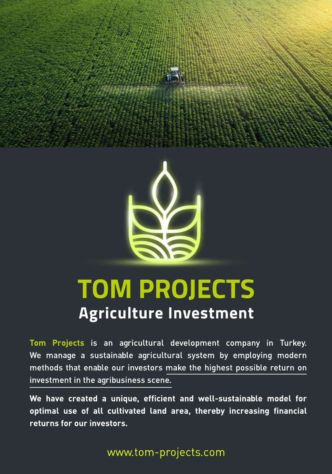



**Tom Projects** is an agricultural development company in Turkey. We manage a sustainable agricultural system by employing modern methods that enable our investors make the highest possible return on investment in the agribusiness scene.

We have created a unique, efficient and well-sustainable model for optimal use of all cultivated land area, thereby increasing financial **returns for our investors.**

www.tom-projects.com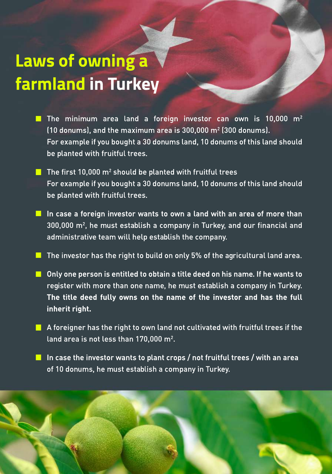## **Laws of owning a farmland in Turkey**

- The minimum area land a foreign investor can own is 10,000  $m^2$ (10 donums), and the maximum area is 300,000 m2 (300 donums). For example if you bought a 30 donums land, 10 donums of this land should be planted with fruitful trees.
- $\blacksquare$  The first 10,000 m<sup>2</sup> should be planted with fruitful trees For example if you bought a 30 donums land, 10 donums of this land should be planted with fruitful trees.
- In case a foreign investor wants to own a land with an area of more than  $300,000$  m<sup>2</sup>, he must establish a company in Turkey, and our financial and administrative team will help establish the company.
- The investor has the right to build on only 5% of the agricultural land area.
- $\blacksquare$  Only one person is entitled to obtain a title deed on his name. If he wants to register with more than one name, he must establish a company in Turkey. **The title deed fully owns on the name of the investor and has the full inherit right.**
- $\blacksquare$  A foreigner has the right to own land not cultivated with fruitful trees if the land area is not less than 170,000 m<sup>2</sup>.
	- In case the investor wants to plant crops / not fruitful trees / with an area of 10 donums, he must establish a company in Turkey.

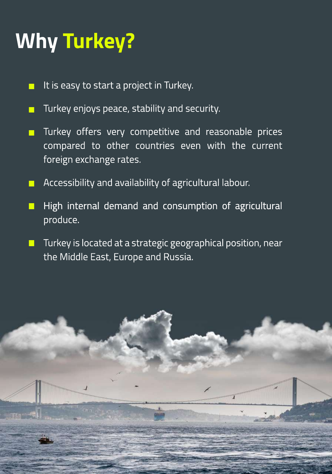# **Why Turkey?**

- It is easy to start a project in Turkey.
- Turkey enjoys peace, stability and security.
- Turkey offers very competitive and reasonable prices  $\blacksquare$ compared to other countries even with the current foreign exchange rates.
- Accessibility and availability of agricultural labour.
- High internal demand and consumption of agricultural produce.
- Turkey is located at a strategic geographical position, near  $\Box$ the Middle East, Europe and Russia.

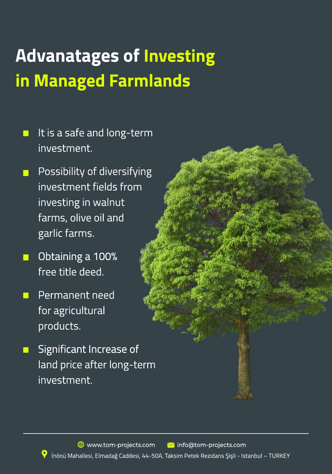# **Advanatages of Investing in Managed Farmlands**

- It is a safe and long-term investment.
- Possibility of diversifying investment fields from investing in walnut farms, olive oil and garlic farms.
- Obtaining a 100%  $\Box$ free title deed.
- Permanent need  $\Box$ for agricultural products.
- Significant Increase of land price after long-term investment.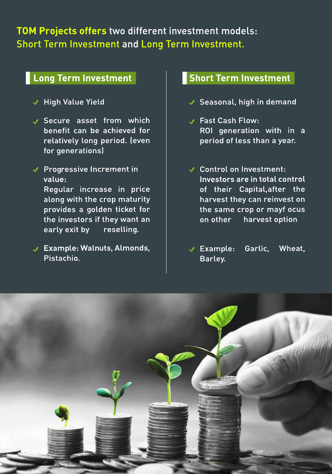#### **TOM Projects offers** two different investment models: Short Term Investment and Long Term Investment.

#### **Long Term Investment**

#### **High Value Yield**

Secure asset from which benefit can be achieved for relatively long period. (even for generations)

Progressive Increment in value: Regular increase in price along with the crop maturity provides a golden ticket for the investors if they want an early exit by reselling.

Example: Walnuts, Almonds, Pistachio.

#### **Short Term Investment**

- Seasonal, high in demand
- **J** Fast Cash Flow: ROI generation with in a period of less than a year.
- Control on Investment: Investors are in total control of their Capital,after the harvest they can reinvest on the same crop or mayf ocus on other harvest option
- Example: Garlic, Wheat, Barley.

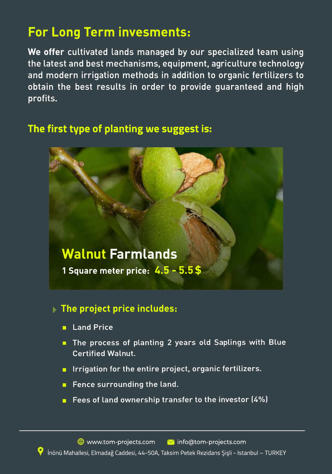### **For Long Term invesments:**

**We offer** cultivated lands managed by our specialized team using the latest and best mechanisms, equipment, agriculture technology and modern irrigation methods in addition to organic fertilizers to obtain the best results in order to provide guaranteed and high profits.

#### **The first type of planting we suggest is:**



#### **The project price includes:**

- **Land Price**
- The process of planting 2 years old Saplings with Blue **Certified Walnut.**
- Irrigation for the entire project, organic fertilizers.
- $\blacksquare$  Fence surrounding the land.
- **F** Fees of land ownership transfer to the investor  $(4%)$

İnönü Mahallesi, Elmadağ Caddesi, 44-50A, Taksim Petek Rezidans Şişli - Istanbul – TURKEY www.tom-projects.com info@tom-projects.com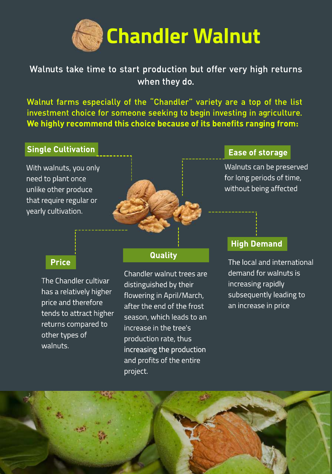

#### Walnuts take time to start production but offer very high returns when they do.

Walnut farms especially of the "Chandler" variety are a top of the list investment choice for someone seeking to begin investing in agriculture. **We highly recommend this choice because of its benefits ranging from:** 

#### **Single Cultivation**

With walnuts, you only need to plant once unlike other produce that require regular or yearly cultivation.

#### **Ease of storage**

Walnuts can be preserved for long periods of time, without being affected

#### **Price**

The Chandler cultivar has a relatively higher price and therefore tends to attract higher returns compared to other types of walnuts.

#### **Quality**

Chandler walnut trees are distinguished by their flowering in April/March, after the end of the frost season, which leads to an increase in the tree's production rate, thus increasing the production and profits of the entire project.

#### **High Demand**

The local and international demand for walnuts is increasing rapidly subsequently leading to an increase in price

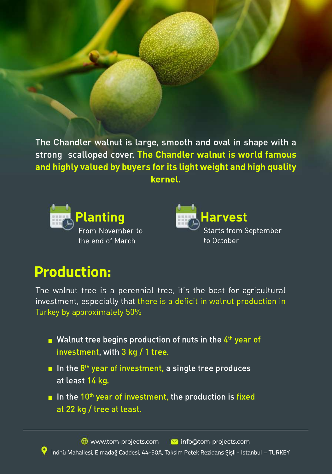The Chandler walnut is large, smooth and oval in shape with a strong scalloped cover. **The Chandler walnut is world famous and highly valued by buyers for its light weight and high quality kernel.**





### **Production:**

The walnut tree is a perennial tree, it's the best for agricultural investment, especially that there is a deficit in walnut production in Turkey by approximately 50%

- $\blacksquare$  Walnut tree begins production of nuts in the 4<sup>th</sup> year of investment, with 3 kg / 1 tree.
- In the  $8<sup>th</sup>$  year of investment, a single tree produces at least 14 kg.
- In the  $10<sup>th</sup>$  year of investment, the production is fixed at 22 kg / tree at least.

İnönü Mahallesi, Elmadağ Caddesi, 44-50A, Taksim Petek Rezidans Şişli - Istanbul – TURKEY  $\bigoplus$  www.tom-projects.com  $\bigotimes$  info@tom-projects.com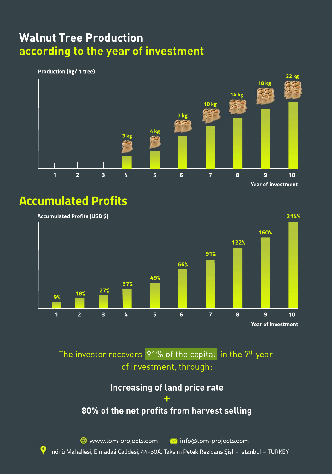### **Walnut Tree Production according to the year of investment**

#### **Production (kg/ 1 tree)**



#### **Accumulated Profits**



The investor recovers  $91%$  of the capital in the  $7<sup>th</sup>$  year of investment, through:

#### **Increasing of land price rate +**

#### **80% of the net profits from harvest selling**

www.tom-projects.com info@tom-projects.com

Ç İnönü Mahallesi, Elmadağ Caddesi, 44-50A, Taksim Petek Rezidans Şişli - Istanbul – TURKEY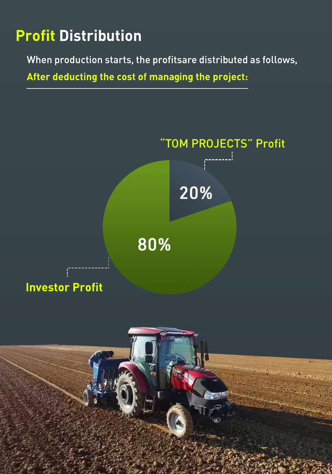### **Profit Distribution**

When production starts, the profitsare distributed as follows,

**After deducting the cost of managing the project:**

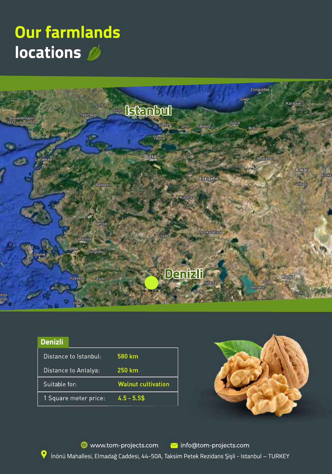### **Our farmlands locations**



| <b>Denizli</b>        |  |                           |
|-----------------------|--|---------------------------|
| Distance to Istanbul: |  | 580 km                    |
| Distance to Antalya:  |  | 250 km                    |
| Suitable for:         |  | <b>Walnut cultivation</b> |
| 1 Square meter price: |  | $4.5 - 5.5$ \$            |



İnönü Mahallesi, Elmadağ Caddesi, 44-50A, Taksim Petek Rezidans Şişli - Istanbul – TURKEY www.tom-projects.com **v**info@tom-projects.com